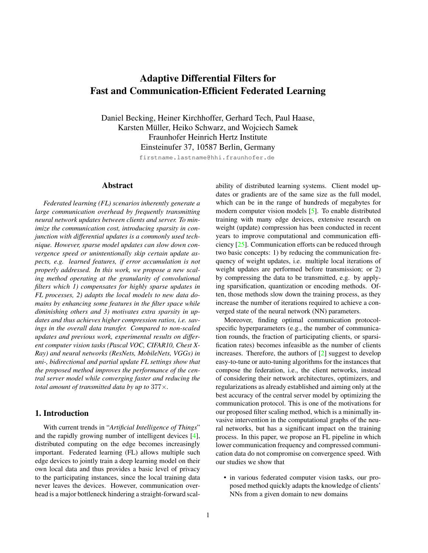# <span id="page-0-0"></span>Adaptive Differential Filters for Fast and Communication-Efficient Federated Learning

Daniel Becking, Heiner Kirchhoffer, Gerhard Tech, Paul Haase, Karsten Müller, Heiko Schwarz, and Wojciech Samek Fraunhofer Heinrich Hertz Institute Einsteinufer 37, 10587 Berlin, Germany

firstname.lastname@hhi.fraunhofer.de

## Abstract

*Federated learning (FL) scenarios inherently generate a large communication overhead by frequently transmitting neural network updates between clients and server. To minimize the communication cost, introducing sparsity in conjunction with differential updates is a commonly used technique. However, sparse model updates can slow down convergence speed or unintentionally skip certain update aspects, e.g. learned features, if error accumulation is not properly addressed. In this work, we propose a new scaling method operating at the granularity of convolutional filters which 1) compensates for highly sparse updates in FL processes, 2) adapts the local models to new data domains by enhancing some features in the filter space while diminishing others and 3) motivates extra sparsity in updates and thus achieves higher compression ratios, i.e. savings in the overall data transfer. Compared to non-scaled updates and previous work, experimental results on different computer vision tasks (Pascal VOC, CIFAR10, Chest X-Ray) and neural networks (ResNets, MobileNets, VGGs) in uni-, bidirectional and partial update FL settings show that the proposed method improves the performance of the central server model while converging faster and reducing the total amount of transmitted data by up to* 377×*.*

#### 1. Introduction

With current trends in "*Artificial Intelligence of Things*" and the rapidly growing number of intelligent devices [\[4\]](#page-8-0), distributed computing on the edge becomes increasingly important. Federated learning (FL) allows multiple such edge devices to jointly train a deep learning model on their own local data and thus provides a basic level of privacy to the participating instances, since the local training data never leaves the devices. However, communication overhead is a major bottleneck hindering a straight-forward scalability of distributed learning systems. Client model updates or gradients are of the same size as the full model, which can be in the range of hundreds of megabytes for modern computer vision models [\[5\]](#page-8-1). To enable distributed training with many edge devices, extensive research on weight (update) compression has been conducted in recent years to improve computational and communication efficiency [\[25\]](#page-9-0). Communication efforts can be reduced through two basic concepts: 1) by reducing the communication frequency of weight updates, i.e. multiple local iterations of weight updates are performed before transmission; or 2) by compressing the data to be transmitted, e.g. by applying sparsification, quantization or encoding methods. Often, those methods slow down the training process, as they increase the number of iterations required to achieve a converged state of the neural network (NN) parameters.

Moreover, finding optimal communication protocolspecific hyperparameters (e.g., the number of communication rounds, the fraction of participating clients, or sparsification rates) becomes infeasible as the number of clients increases. Therefore, the authors of [\[2\]](#page-8-2) suggest to develop easy-to-tune or auto-tuning algorithms for the instances that compose the federation, i.e., the client networks, instead of considering their network architectures, optimizers, and regularizations as already established and aiming only at the best accuracy of the central server model by optimizing the communication protocol. This is one of the motivations for our proposed filter scaling method, which is a minimally invasive intervention in the computational graphs of the neural networks, but has a significant impact on the training process. In this paper, we propose an FL pipeline in which lower communication frequency and compressed communication data do not compromise on convergence speed. With our studies we show that

• in various federated computer vision tasks, our proposed method quickly adapts the knowledge of clients' NNs from a given domain to new domains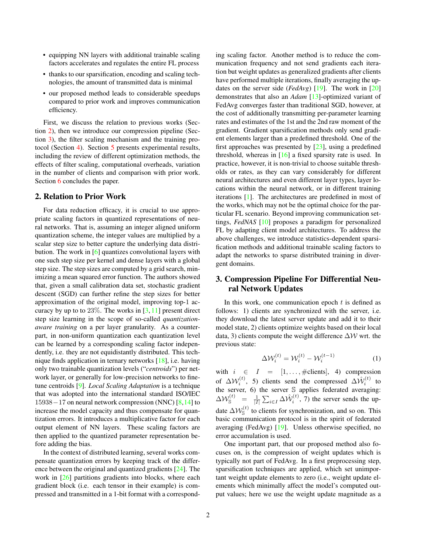- <span id="page-1-2"></span>• equipping NN layers with additional trainable scaling factors accelerates and regulates the entire FL process
- thanks to our sparsification, encoding and scaling technologies, the amount of transmitted data is minimal
- our proposed method leads to considerable speedups compared to prior work and improves communication efficiency.

First, we discuss the relation to previous works (Section [2\)](#page-1-0), then we introduce our compression pipeline (Section [3\)](#page-1-1), the filter scaling mechanism and the training protocol (Section [4\)](#page-2-0). Section [5](#page-3-0) presents experimental results, including the review of different optimization methods, the effects of filter scaling, computational overheads, variation in the number of clients and comparison with prior work. Section [6](#page-7-0) concludes the paper.

#### <span id="page-1-0"></span>2. Relation to Prior Work

For data reduction efficacy, it is crucial to use appropriate scaling factors in quantized representations of neural networks. That is, assuming an integer aligned uniform quantization scheme, the integer values are multiplied by a scalar step size to better capture the underlying data distribution. The work in [\[6\]](#page-8-3) quantizes convolutional layers with one such step size per kernel and dense layers with a global step size. The step sizes are computed by a grid search, minimizing a mean squared error function. The authors showed that, given a small calibration data set, stochastic gradient descent (SGD) can further refine the step sizes for better approximation of the original model, improving top-1 accuracy by up to to  $23\%$ . The works in [\[3,](#page-8-4) [11\]](#page-8-5) present direct step size learning in the scope of so-called *quantizationaware training* on a per layer granularity. As a counterpart, in non-uniform quantization each quantization level can be learned by a corresponding scaling factor independently, i.e. they are not equidistantly distributed. This technique finds application in ternary networks [\[18\]](#page-8-6), i.e. having only two trainable quantization levels ("*centroids*") per network layer, or generally for low-precision networks to finetune centroids [\[9\]](#page-8-7). *Local Scaling Adaptation* is a technique that was adopted into the international standard ISO/IEC 15938−17 on neural network compression (NNC) [\[8,](#page-8-8)[14\]](#page-8-9) to increase the model capacity and thus compensate for quantization errors. It introduces a multiplicative factor for each output element of NN layers. These scaling factors are then applied to the quantized parameter representation before adding the bias.

In the context of distributed learning, several works compensate quantization errors by keeping track of the difference between the original and quantized gradients [\[24\]](#page-9-1). The work in [\[26\]](#page-9-2) partitions gradients into blocks, where each gradient block (i.e. each tensor in their example) is compressed and transmitted in a 1-bit format with a corresponding scaling factor. Another method is to reduce the communication frequency and not send gradients each iteration but weight updates as generalized gradients after clients have performed multiple iterations, finally averaging the updates on the server side (*FedAvg*) [\[19\]](#page-8-10). The work in [\[20\]](#page-8-11) demonstrates that also an *Adam* [\[13\]](#page-8-12)-optimized variant of FedAvg converges faster than traditional SGD, however, at the cost of additionally transmitting per-parameter learning rates and estimates of the 1st and the 2nd raw moment of the gradient. Gradient sparsification methods only send gradient elements larger than a predefined threshold. One of the first approaches was presented by  $[23]$ , using a predefined threshold, whereas in  $[16]$  a fixed sparsity rate is used. In practice, however, it is non-trivial to choose suitable thresholds or rates, as they can vary considerably for different neural architectures and even different layer types, layer locations within the neural network, or in different training iterations [\[1\]](#page-8-15). The architectures are predefined in most of the works, which may not be the optimal choice for the particular FL scenario. Beyond improving communication settings, *FedNAS* [\[10\]](#page-8-16) proposes a paradigm for personalized FL by adapting client model architectures. To address the above challenges, we introduce statistics-dependent sparsification methods and additional trainable scaling factors to adapt the networks to sparse distributed training in divergent domains.

## <span id="page-1-1"></span>3. Compression Pipeline For Differential Neural Network Updates

In this work, one communication epoch  $t$  is defined as follows: 1) clients are synchronized with the server, i.e. they download the latest server update and add it to their model state, 2) clients optimize weights based on their local data, 3) clients compute the weight difference  $\Delta W$  wrt. the previous state:

$$
\Delta W_i^{(t)} = W_i^{(t)} - W_i^{(t-1)} \tag{1}
$$

with  $i \in I = [1, \ldots, \text{\#clients}],$  4) compression of  $\Delta \mathcal{W}_i^{(t)}$ , 5) clients send the compressed  $\Delta \hat{\mathcal{W}}_i^{(t)}$  to the server, 6) the server S applies federated averaging:  $\Delta \mathcal{W}^{(t)}_{\mathbb{S}} = \frac{1}{|I|} \sum_{i \in I} \Delta \hat{\mathcal{W}}^{(t)}_i$ , 7) the server sends the update  $\Delta W_{\rm S}^{(t)}$  to clients for synchronization, and so on. This basic communication protocol is in the spirit of federated averaging (FedAvg) [\[19\]](#page-8-10). Unless otherwise specified, no error accumulation is used.

One important part, that our proposed method also focuses on, is the compression of weight updates which is typically not part of FedAvg. In a first preprocessing step, sparsification techniques are applied, which set unimportant weight update elements to zero (i.e., weight update elements which minimally affect the model's computed output values; here we use the weight update magnitude as a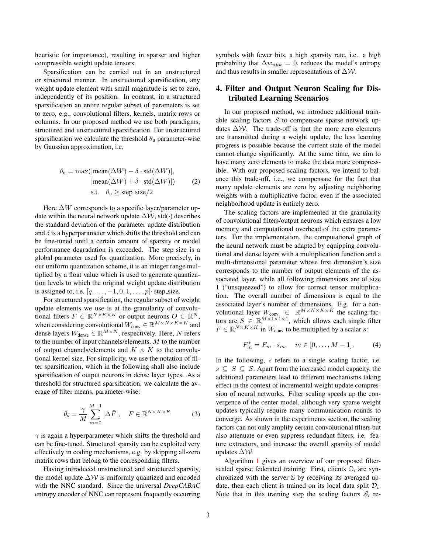heuristic for importance), resulting in sparser and higher compressible weight update tensors.

Sparsification can be carried out in an unstructured or structured manner. In unstructured sparsification, any weight update element with small magnitude is set to zero, independently of its position. In contrast, in a structured sparsification an entire regular subset of parameters is set to zero, e.g., convolutional filters, kernels, matrix rows or columns. In our proposed method we use both paradigms, structured and unstructured sparsification. For unstructured sparsification we calculate the threshold  $\theta_u$  parameter-wise by Gaussian approximation, i.e.

$$
\theta_{\mathsf{u}} = \max(|\text{mean}(\Delta W) - \delta \cdot \text{std}(\Delta W)|, |\text{mean}(\Delta W) + \delta \cdot \text{std}(\Delta W)|)
$$
(2)  
s.t.  $\theta_{\mathsf{u}} \geq \text{step.size}/2$ 

Here  $\Delta W$  corresponds to a specific layer/parameter update within the neural network update  $\Delta W$ , std $(\cdot)$  describes the standard deviation of the parameter update distribution and  $\delta$  is a hyperparameter which shifts the threshold and can be fine-tuned until a certain amount of sparsity or model performance degradation is exceeded. The step size is a global parameter used for quantization. More precisely, in our uniform quantization scheme, it is an integer range multiplied by a float value which is used to generate quantization levels to which the original weight update distribution is assigned to, i.e.  $[q, \ldots, -1, 0, 1, \ldots, p]$  step size.

For structured sparsification, the regular subset of weight update elements we use is at the granularity of convolutional filters  $F \in \mathbb{R}^{N \times K \times K}$  or output neurons  $O \in \mathbb{R}^N$ , when considering convolutional  $W_{\text{conv}} \in \mathbb{R}^{M \times N \times K \times K}$  and dense layers  $W_{\text{dense}} \in \mathbb{R}^{M \times N}$ , respectively. Here, N refers to the number of input channels/elements, M to the number of output channels/elements and  $K \times K$  to the convolutional kernel size. For simplicity, we use the notation of filter sparsification, which in the following shall also include sparsification of output neurons in dense layer types. As a threshold for structured sparsification, we calculate the average of filter means, parameter-wise:

<span id="page-2-2"></span>
$$
\theta_{\rm s} = \frac{\gamma}{M} \sum_{m=0}^{M-1} |\Delta \bar{F}|, \quad F \in \mathbb{R}^{N \times K \times K} \tag{3}
$$

 $\gamma$  is again a hyperparameter which shifts the threshold and can be fine-tuned. Structured sparsity can be exploited very effectively in coding mechanisms, e.g. by skipping all-zero matrix rows that belong to the corresponding filters.

Having introduced unstructured and structured sparsity, the model update  $\Delta W$  is uniformly quantized and encoded with the NNC standard. Since the universal *DeepCABAC* entropy encoder of NNC can represent frequently occurring symbols with fewer bits, a high sparsity rate, i.e. a high probability that  $\Delta w_{nkk} = 0$ , reduces the model's entropy and thus results in smaller representations of  $\Delta W$ .

## <span id="page-2-0"></span>4. Filter and Output Neuron Scaling for Distributed Learning Scenarios

In our proposed method, we introduce additional trainable scaling factors  $S$  to compensate sparse network updates  $\Delta W$ . The trade-off is that the more zero elements are transmitted during a weight update, the less learning progress is possible because the current state of the model cannot change significantly. At the same time, we aim to have many zero elements to make the data more compressible. With our proposed scaling factors, we intend to balance this trade-off, i.e., we compensate for the fact that many update elements are zero by adjusting neighboring weights with a multiplicative factor, even if the associated neighborhood update is entirely zero.

<span id="page-2-1"></span>The scaling factors are implemented at the granularity of convolutional filters/output neurons which ensures a low memory and computational overhead of the extra parameters. For the implementation, the computational graph of the neural network must be adapted by equipping convolutional and dense layers with a multiplication function and a multi-dimensional parameter whose first dimension's size corresponds to the number of output elements of the associated layer, while all following dimensions are of size 1 ("unsqueezed") to allow for correct tensor multiplication. The overall number of dimensions is equal to the associated layer's number of dimensions. E.g. for a convolutional layer  $W_{\text{conv}} \in \mathbb{R}^{M \times N \times K \times K}$  the scaling factors are  $S \in \mathbb{R}^{M \times 1 \times 1 \times 1}$ , which allows each single filter  $F \in \mathbb{R}^{N \times K \times K}$  in  $W_{\text{conv}}$  to be multiplied by a scalar s:

<span id="page-2-3"></span>
$$
F_m^* = F_m \cdot s_m, \quad m \in [0, \dots, M-1]. \tag{4}
$$

In the following, s refers to a single scaling factor, i.e.  $s \subseteq S \subseteq S$ . Apart from the increased model capacity, the additional parameters lead to different mechanisms taking effect in the context of incremental weight update compression of neural networks. Filter scaling speeds up the convergence of the center model, although very sparse weight updates typically require many communication rounds to converge. As shown in the experiments section, the scaling factors can not only amplify certain convolutional filters but also attenuate or even suppress redundant filters, i.e. feature extractors, and increase the overall sparsity of model updates ∆W.

Algorithm [1](#page-3-1) gives an overview of our proposed filterscaled sparse federated training. First, clients  $\mathbb{C}_i$  are synchronized with the server S by receiving its averaged update, then each client is trained on its local data split  $\mathcal{D}_i$ . Note that in this training step the scaling factors  $S_i$  re-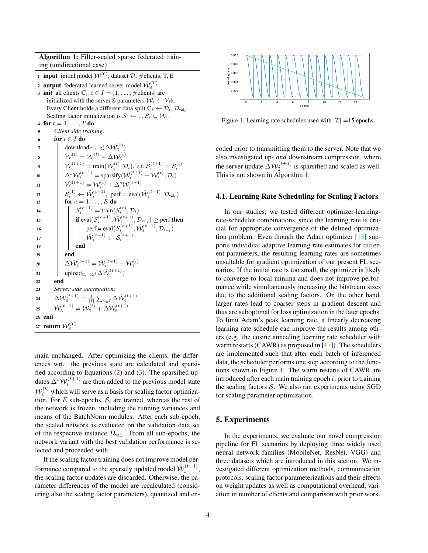<span id="page-3-3"></span>Algorithm 1: Filter-scaled sparse federated training (unidirectional case)

<span id="page-3-1"></span>1 **input** initial model  $W^{(0)}$ , dataset  $D$ , #clients, T, E

2 output federated learned server model  $\hat{\mathcal{W}}^{(T)}_{\mathbb{S}}$ 3 init all clients  $\mathbb{C}_i, i \in I = [1, \dots, \text{\# clients}]$  are initialized with the server S parameters  $\mathcal{W}_i \leftarrow \mathcal{W}_s$ . Every Client holds a different data split  $\mathbb{C}_i \leftarrow \mathcal{D}_i, \mathcal{D}_{val_i}$ . Scaling factor initialization is  $S_i \leftarrow 1, S_i \subseteq W_i$ .

```
4 for t = 1, \ldots, T do
 5 Client side training:
 6 for i \in I do
  7 download\mathcal{L}_i \leftarrow \mathcal{S}(\Delta \mathcal{W}_\mathcal{S}^{(t)})\begin{array}{ccc} \mathbf{s} & | & | & \mathcal{W}^{(t)}_i = \mathcal{W}^{(t)}_i + \Delta \mathcal{W}^{(t)}_{\mathbb{S}} \end{array}\mathcal{Y}_i^{(t+1)} = \text{train}(\mathcal{W}_i^{(t)}, \mathcal{D}_i), \text{ s.t. } \mathcal{S}_i^{(t+1)} = \mathcal{S}_i^{(t)}10 \Delta^s \mathcal{W}_i^{(t+1)} = \text{sparsity}(\mathcal{W}_i^{(t+1)} - \mathcal{W}_i^{(t)}, \mathcal{D}_i)\mathbf{u}_1 \quad | \quad \hat{\mathcal{W}}_i^{(t+1)} = \mathcal{W}_i^{(t)} + \Delta^s \mathcal{W}_i^{(t+1)}12 \left|\right| \left| S_i^{(1)} \leftarrow \hat{\mathcal{W}}_i^{(t+1)}, perf = eval(\hat{\mathcal{W}}_i^{(t+1)}, \mathcal{D}_{val_i})13 for e = 1, \ldots, E do
 14 \mathcal{S}_i^{(e+1)} = \text{train}(\mathcal{S}_i^{(e)}, \mathcal{D}_i)15 if eval(\mathcal{S}_i^{(e+1)}, \hat{\mathcal{W}}_i^{(t+1)}, \mathcal{D}_{val_i}) \ge \text{perf } then
 16 | | | perf = eval(S_i^{(e+1)}, \hat{W}_i^{(t+1)}, \mathcal{D}_{val_i})17 \bigcup_{i=1}^{n} \hat{\mathcal{W}}_i^{(t+1)} \leftarrow \mathcal{S}_i^{(e+1)}18 end
19 end
\begin{array}{c|c} \textbf{20} & \Delta \hat{\mathcal{W}}_i^{(t+1)} = \hat{\mathcal{W}}_i^{(t+1)} - \mathcal{W}_i^{(t)} \ \textbf{21} & \textbf{1} & \textbf{1} \end{array}22 end
23 Server side aggregation:
\begin{array}{l} \mathbf{24} \quad \quad \Delta\mathcal{W}_{\mathbb{S}}^{(t+1)} = \frac{1}{|I|}\sum_{i\in I}\Delta\hat{\mathcal{W}}_{i}^{(t+1)} \ \mathbf{25} \quad \quad \hat{\mathcal{W}}_{\mathbb{S}}^{(t+1)} = \mathcal{W}_{\mathbb{S}}^{(t)} + \Delta\mathcal{W}_{\mathbb{S}}^{(t+1)} \end{array}26 end
27 \;return \hat{\mathcal{W}}^{(T)}_{\mathbb{S}}
```
main unchanged. After optimizing the clients, the differences wrt. the previous state are calculated and sparsified according to Equations [\(2\)](#page-2-1) and [\(3\)](#page-2-2). The sparsified updates  $\Delta^s \mathcal{W}_i^{(t+1)}$  are then added to the previous model state  $W_i^{(t)}$  which will serve as a basis for scaling factor optimization. For E sub-epochs,  $S_i$  are trained, whereas the rest of the network is frozen, including the running variances and means of the BatchNorm modules. After each sub-epoch, the scaled network is evaluated on the validation data set of the respective instance  $\mathcal{D}_{val_i}$ . From all sub-epochs, the network variant with the best validation performance is selected and proceeded with.

If the scaling factor training does not improve model performance compared to the sparsely updated model  $\hat{W}_i^{(t+1)}$ , the scaling factor updates are discarded. Otherwise, the parameter differences of the model are recalculated (considering also the scaling factor parameters), quantized and en-

<span id="page-3-2"></span>

Figure 1. Learning rate schedules used with  $|T| = 15$  epochs.

coded prior to transmitting them to the server. Note that we also investigated up- *and* downstream compression, where the server update  $\Delta W_{\rm s}^{(t+1)}$  is sparsified and scaled as well. This is not shown in Algorithm [1.](#page-3-1)

#### 4.1. Learning Rate Scheduling for Scaling Factors

In our studies, we tested different optimizer-learningrate-scheduler combinations, since the learning rate is crucial for appropriate convergence of the defined optimization problem. Even though the Adam optimizer  $[13]$  supports individual adaptive learning rate estimates for different parameters, the resulting learning rates are sometimes unsuitable for gradient optimization of our present FL scenarios. If the initial rate is too small, the optimizer is likely to converge to local minima and does not improve performance while simultaneously increasing the bitstream sizes due to the additional scaling factors. On the other hand, larger rates lead to coarser steps in gradient descent and thus are suboptimal for loss optimization in the later epochs. To limit Adam's peak learning rate, a linearly decreasing learning rate schedule can improve the results among others (e.g. the cosine annealing learning rate scheduler with warm restarts (CAWR) as proposed in [\[17\]](#page-8-17)). The schedulers are implemented such that after each batch of inferenced data, the scheduler performs one step according to the functions shown in Figure [1.](#page-3-2) The warm restarts of CAWR are introduced after each main training epoch  $t$ , prior to training the scaling factors  $S$ . We also ran experiments using SGD for scaling parameter optimization.

#### <span id="page-3-0"></span>5. Experiments

In the experiments, we evaluate our novel compression pipeline for FL scenarios by deploying three widely used neural network families (MobileNet, ResNet, VGG) and three datasets which are introduced in this section. We investigated different optimization methods, communication protocols, scaling factor parameterizations and their effects on weight updates as well as computational overhead, variation in number of clients and comparison with prior work.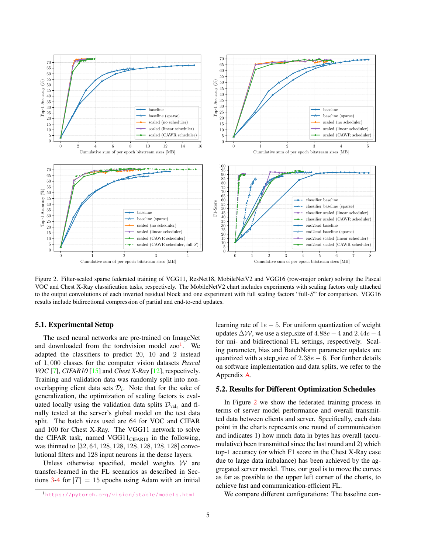<span id="page-4-2"></span><span id="page-4-1"></span>

Figure 2. Filter-scaled sparse federated training of VGG11, ResNet18, MobileNetV2 and VGG16 (row-major order) solving the Pascal VOC and Chest X-Ray classification tasks, respectively. The MobileNetV2 chart includes experiments with scaling factors only attached to the output convolutions of each inverted residual block and one experiment with full scaling factors "full-S" for comparison. VGG16 results include bidirectional compression of partial and end-to-end updates.

#### 5.1. Experimental Setup

The used neural networks are pre-trained on ImageNet and downloaded from the torchvision model zoo<sup>[1](#page-4-0)</sup>. We adapted the classifiers to predict 20, 10 and 2 instead of 1, 000 classes for the computer vision datasets *Pascal VOC* [\[7\]](#page-8-18), *CIFAR10* [\[15\]](#page-8-19) and *Chest X-Ray* [\[12\]](#page-8-20), respectively. Training and validation data was randomly split into nonoverlapping client data sets  $\mathcal{D}_i$ . Note that for the sake of generalization, the optimization of scaling factors is evaluated locally using the validation data splits  $\mathcal{D}_{\text{val}_i}$  and finally tested at the server's global model on the test data split. The batch sizes used are 64 for VOC and CIFAR and 100 for Chest X-Ray. The VGG11 network to solve the CIFAR task, named VGG11 $_{CIFARI0}$  in the following, was thinned to [32, 64, 128, 128, 128, 128, 128, 128] convolutional filters and 128 input neurons in the dense layers.

Unless otherwise specified, model weights  $W$  are transfer-learned in the FL scenarios as described in Sec-tions [3-](#page-1-1)[4](#page-2-0) for  $|T| = 15$  epochs using Adam with an initial learning rate of  $1e - 5$ . For uniform quantization of weight updates  $\Delta W$ , we use a step\_size of 4.88e – 4 and 2.44e – 4 for uni- and bidirectional FL settings, respectively. Scaling parameter, bias and BatchNorm parameter updates are quantized with a step\_size of  $2.38e - 6$ . For further details on software implementation and data splits, we refer to the Appendix [A.](#page-10-0)

#### 5.2. Results for Different Optimization Schedules

In Figure [2](#page-4-1) we show the federated training process in terms of server model performance and overall transmitted data between clients and server. Specifically, each data point in the charts represents one round of communication and indicates 1) how much data in bytes has overall (accumulative) been transmitted since the last round and 2) which top-1 accuracy (or which F1 score in the Chest X-Ray case due to large data imbalance) has been achieved by the aggregated server model. Thus, our goal is to move the curves as far as possible to the upper left corner of the charts, to achieve fast and communication-efficient FL.

We compare different configurations: The baseline con-

<span id="page-4-0"></span><sup>1</sup><https://pytorch.org/vision/stable/models.html>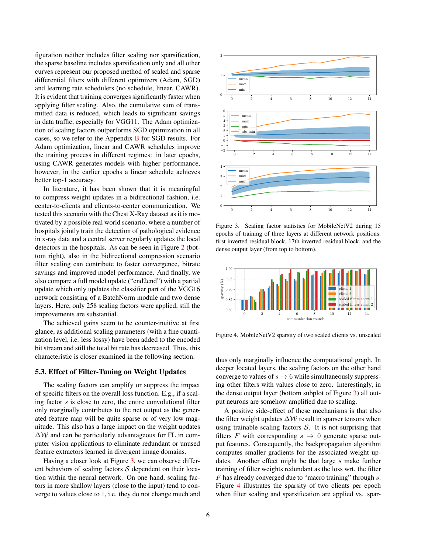figuration neither includes filter scaling nor sparsification, the sparse baseline includes sparsification only and all other curves represent our proposed method of scaled and sparse differential filters with different optimizers (Adam, SGD) and learning rate schedulers (no schedule, linear, CAWR). It is evident that training converges significantly faster when applying filter scaling. Also, the cumulative sum of transmitted data is reduced, which leads to significant savings in data traffic, especially for VGG11. The Adam optimization of scaling factors outperforms SGD optimization in all cases, so we refer to the Appendix [B](#page-10-1) for SGD results. For Adam optimization, linear and CAWR schedules improve the training process in different regimes: in later epochs, using CAWR generates models with higher performance, however, in the earlier epochs a linear schedule achieves better top-1 accuracy.

In literature, it has been shown that it is meaningful to compress weight updates in a bidirectional fashion, i.e. center-to-clients and clients-to-center communication. We tested this scenario with the Chest X-Ray dataset as it is motivated by a possible real world scenario, where a number of hospitals jointly train the detection of pathological evidence in x-ray data and a central server regularly updates the local detectors in the hospitals. As can be seen in Figure [2](#page-4-1) (bottom right), also in the bidirectional compression scenario filter scaling can contribute to faster convergence, bitrate savings and improved model performance. And finally, we also compare a full model update ("end2end") with a partial update which only updates the classifier part of the VGG16 network consisting of a BatchNorm module and two dense layers. Here, only 258 scaling factors were applied, still the improvements are substantial.

The achieved gains seem to be counter-inuitive at first glance, as additional scaling parameters (with a fine quantization level, i.e. less lossy) have been added to the encoded bit stream and still the total bit rate has decreased. Thus, this characteristic is closer examined in the following section.

#### <span id="page-5-2"></span>5.3. Effect of Filter-Tuning on Weight Updates

The scaling factors can amplify or suppress the impact of specific filters on the overall loss function. E.g., if a scaling factor s is close to zero, the entire convolutional filter only marginally contributes to the net output as the generated feature map will be quite sparse or of very low magnitude. This also has a large impact on the weight updates  $\Delta W$  and can be particularly advantageous for FL in computer vision applications to eliminate redundant or unused feature extractors learned in divergent image domains.

Having a closer look at Figure [3,](#page-5-0) we can observe different behaviors of scaling factors  $S$  dependent on their location within the neural network. On one hand, scaling factors in more shallow layers (close to the input) tend to converge to values close to 1, i.e. they do not change much and

<span id="page-5-0"></span>

Figure 3. Scaling factor statistics for MobileNetV2 during 15 epochs of training of three layers at different network positions: first inverted residual block, 17th inverted residual block, and the dense output layer (from top to bottom).

<span id="page-5-1"></span>

Figure 4. MobileNetV2 sparsity of two scaled clients vs. unscaled

thus only marginally influence the computational graph. In deeper located layers, the scaling factors on the other hand converge to values of  $s \to 6$  while simultaneously suppressing other filters with values close to zero. Interestingly, in the dense output layer (bottom subplot of Figure [3\)](#page-5-0) all output neurons are somehow amplified due to scaling.

A positive side-effect of these mechanisms is that also the filter weight updates  $\Delta W$  result in sparser tensors when using trainable scaling factors  $S$ . It is not surprising that filters F with corresponding  $s \rightarrow 0$  generate sparse output features. Consequently, the backpropagation algorithm computes smaller gradients for the associated weight updates. Another effect might be that large s make further training of filter weights redundant as the loss wrt. the filter F has already converged due to "macro training" through s. Figure [4](#page-5-1) illustrates the sparsity of two clients per epoch when filter scaling and sparsification are applied vs. spar-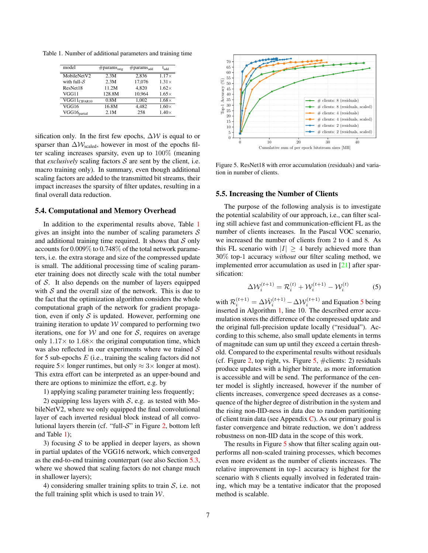<span id="page-6-4"></span><span id="page-6-0"></span>Table 1. Number of additional parameters and training time

| model                        | $\#$ params <sub>orig</sub> | $\#$ params <sub>add</sub> | $t_{add}$    |
|------------------------------|-----------------------------|----------------------------|--------------|
| MobileNetV2                  | 2.3M                        | 2.836                      | $1.17\times$ |
| with full- $S$               | 2.3M                        | 17,076                     | $1.31\times$ |
| ResNet18                     | 11.2M                       | 4.820                      | $1.62\times$ |
| VGG11                        | 128.8M                      | 10.964                     | $1.65\times$ |
| $\overline{V}GGI1_{CIFAR10}$ | 0.8M                        | 1.002                      | $1.68\times$ |
| VGG16                        | 16.8M                       | 4.482                      | $1.60\times$ |
| $VGG16$ <sub>partial</sub>   | 2.1M                        | 258                        | $1.40\times$ |

sification only. In the first few epochs,  $\Delta W$  is equal to or sparser than  $\Delta W_{\text{scaled}}$ , however in most of the epochs filter scaling increases sparsity, even up to 100% (meaning that *exclusively* scaling factors  $S$  are sent by the client, i.e. macro training only). In summary, even though additional scaling factors are added to the transmitted bit streams, their impact increases the sparsity of filter updates, resulting in a final overall data reduction.

#### 5.4. Computational and Memory Overhead

In addition to the experimental results above, Table [1](#page-6-0) gives an insight into the number of scaling parameters  $\mathcal S$ and additional training time required. It shows that  $S$  only accounts for 0.009% to 0.748% of the total network parameters, i.e. the extra storage and size of the compressed update is small. The additional processing time of scaling parameter training does not directly scale with the total number of S. It also depends on the number of layers equipped with  $S$  and the overall size of the network. This is due to the fact that the optimization algorithm considers the whole computational graph of the network for gradient propagation, even if only  $S$  is updated. However, performing one training iteration to update  $W$  compared to performing two iterations, one for  $W$  and one for  $S$ , requires on average only  $1.17\times$  to  $1.68\times$  the original computation time, which was also reflected in our experiments where we trained  $S$ for 5 sub-epochs  $E$  (i.e., training the scaling factors did not require  $5\times$  longer runtimes, but only  $\approx 3\times$  longer at most). This extra effort can be interpreted as an upper-bound and there are options to minimize the effort, e.g. by

1) applying scaling parameter training less frequently;

2) equipping less layers with  $S$ , e.g. as tested with MobileNetV2, where we only equipped the final convolutional layer of each inverted residual block instead of all convolutional layers therein (cf. "full- $S$ " in Figure [2,](#page-4-1) bottom left and Table [1\)](#page-6-0);

3) focusing  $S$  to be applied in deeper layers, as shown in partial updates of the VGG16 network, which converged as the end-to-end training counterpart (see also Section [5.3,](#page-5-2) where we showed that scaling factors do not change much in shallower layers);

4) considering smaller training splits to train  $S$ , i.e. not the full training split which is used to train  $W$ .

<span id="page-6-2"></span>

Figure 5. ResNet18 with error accumulation (residuals) and variation in number of clients.

#### <span id="page-6-3"></span>5.5. Increasing the Number of Clients

The purpose of the following analysis is to investigate the potential scalability of our approach, i.e., can filter scaling still achieve fast and communication-efficient FL as the number of clients increases. In the Pascal VOC scenario, we increased the number of clients from 2 to 4 and 8. As this FL scenario with  $|I| > 4$  barely achieved more than 30% top-1 accuracy *without* our filter scaling method, we implemented error accumulation as used in [\[21\]](#page-8-21) after sparsification:

<span id="page-6-1"></span>
$$
\Delta W_i^{(t+1)} = \mathcal{R}_i^{(t)} + \mathcal{W}_i^{(t+1)} - \mathcal{W}_i^{(t)} \tag{5}
$$

with  $\mathcal{R}_i^{(t+1)} = \Delta \hat{\mathcal{W}}_i^{(t+1)} - \Delta \mathcal{W}_i^{(t+1)}$  and Equation [5](#page-6-1) being inserted in Algorithm [1,](#page-3-1) line 10. The described error accumulation stores the difference of the compressed update and the original full-precision update locally ("residual"). According to this scheme, also small update elements in terms of magnitude can sum up until they exceed a certain threshold. Compared to the experimental results without residuals (cf. Figure [2,](#page-4-1) top right, vs. Figure  $5, \#$  $5, \#$ clients: 2) residuals produce updates with a higher bitrate, as more information is accessible and will be send. The performance of the center model is slightly increased, however if the number of clients increases, convergence speed decreases as a consequence of the higher degree of distribution in the system and the rising non-IID-ness in data due to random partitioning of client train data (see Appendix  $C$ ). As our primary goal is faster convergence and bitrate reduction, we don't address robustness on non-IID data in the scope of this work.

The results in Figure [5](#page-6-2) show that filter scaling again outperforms all non-scaled training processes, which becomes even more evident as the number of clients increases. The relative improvement in top-1 accuracy is highest for the scenario with 8 clients equally involved in federated training, which may be a tentative indicator that the proposed method is scalable.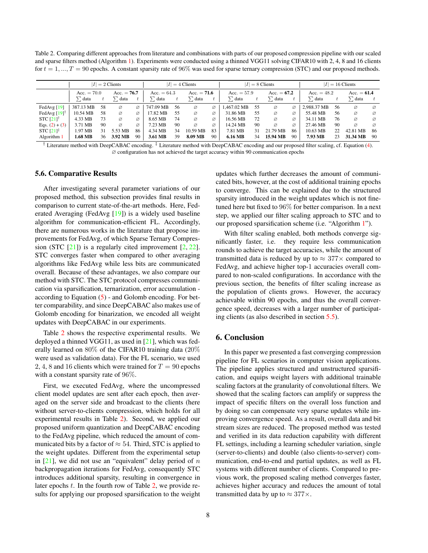<span id="page-7-2"></span><span id="page-7-1"></span>Table 2. Comparing different approaches from literature and combinations with parts of our proposed compression pipeline with our scaled and sparse filters method (Algorithm [1\)](#page-3-1). Experiments were conducted using a thinned VGG11 solving CIFAR10 with 2, 4, 8 and 16 clients for  $t = 1, ..., T = 90$  epochs. A constant sparsity rate of 96% was used for sparse ternary compression (STC) and our proposed methods.

|                                                    | $ I  = 2$ Clients |    |               |    | $ I  = 4$ Clients |    | $ I  = 8$ Clients |               |             | $ I  = 16$ Clients |             |               |             |               |             |    |
|----------------------------------------------------|-------------------|----|---------------|----|-------------------|----|-------------------|---------------|-------------|--------------------|-------------|---------------|-------------|---------------|-------------|----|
|                                                    | Acc. $= 70.0$     |    | Acc. $= 76.7$ |    | Acc. $= 64.3$     |    | Acc. $= 71.6$     | Acc. $= 57.9$ |             | Acc. $= 67.2$      |             | Acc. $= 48.2$ |             | Acc. $= 61.4$ |             |    |
|                                                    | : data            |    | $\sum$ data   |    | > `data           |    | $\Gamma$ data     |               | $\sum$ data |                    | $\sum$ data | t             | data        |               | $\sum$ data |    |
| FedAvg $[19]$                                      | 387.13 MB         | 58 | Ø             | Ø  | 747.09 MB         | 56 | ø                 | ø             | 1.467.02 MB | 55                 | ø           | ø             | 2.988.37 MB | 56            | Ø           | Ø  |
| FedAvg $[19]^\dagger$                              | 10.54 MB          | 58 | ø             | ø  | 7.82 MB           | 55 | ø                 | ø             | 31.86 MB    | 55                 | ø           | ø             | 55.48 MB    | 56            | ø           | Ø  |
| STC $[21]$ <sup>†</sup>                            | 4.33 MB           | 73 | Ø             | ø  | 8.65 MB           | 74 | ø                 | ø             | 16.56 MB    | 72                 | ø           | ø             | 34.11 MB    | 76            | Ø           | Ø  |
| Eqs. $(2) + (3)$                                   | 3.71 MB           | 90 | ø             | Ø  | 7.23 MB           | 90 | ø                 | Ø             | 14.24 MB    | 90                 | ø           | ø             | 27.46 MB    | 90            | ø           | Ø  |
| <b>STC</b> $[21]$ <sup><math>\ddagger</math></sup> | 1.97 MB           | 31 | 5.53 MB       | 86 | 4.34 MB           | 34 | 10.59 MB          | 83            | 7.81 MB     | 31                 | 21.79 MB    | 86            | 10.63 MB    | 22            | 42.81 MB    | 86 |
| Algorithm 1                                        | .68 MB            | 36 | 3.92 MB       | 90 | 3.61 MB           | 39 | 8.09 MB           | 90            | 6.16 MB     | 34                 | 15.94 MB    | 90            | 7.93 MB     | 23            | 31.34 MB    | 90 |

 $\dagger$  Literature method with DeepCABAC encoding.  $\dagger$  Literature method with DeepCABAC encoding and our proposed filter scaling, cf. Equation [\(4\)](#page-2-3). ∅ configuration has not achieved the target accuracy within 90 communication epochs

#### 5.6. Comparative Results

After investigating several parameter variations of our proposed method, this subsection provides final results in comparison to current state-of-the-art methods. Here, Federated Averaging (FedAvg [\[19\]](#page-8-10)) is a widely used baseline algorithm for communication-efficient FL. Accordingly, there are numerous works in the literature that propose improvements for FedAvg, of which Sparse Ternary Compression (STC  $[21]$ ) is a regularly cited improvement  $[2, 22]$  $[2, 22]$  $[2, 22]$ . STC converges faster when compared to other averaging algorithms like FedAvg while less bits are communicated overall. Because of these advantages, we also compare our method with STC. The STC protocol compresses communication via sparsification, ternarization, error accumulation according to Equation [\(5\)](#page-6-1) - and Golomb encoding. For better comparability, and since DeepCABAC also makes use of Golomb encoding for binarization, we encoded all weight updates with DeepCABAC in our experiments.

Table [2](#page-7-1) shows the respective experimental results. We deployed a thinned VGG11, as used in [\[21\]](#page-8-21), which was federally learned on 80% of the CIFAR10 training data (20% were used as validation data). For the FL scenario, we used 2, 4, 8 and 16 clients which were trained for  $T = 90$  epochs with a constant sparsity rate of 96%.

First, we executed FedAvg, where the uncompressed client model updates are sent after each epoch, then averaged on the server side and broadcast to the clients (here without server-to-clients compression, which holds for all experimental results in Table [2\)](#page-7-1). Second, we applied our proposed uniform quantization and DeepCABAC encoding to the FedAvg pipeline, which reduced the amount of communicated bits by a factor of  $\approx 54$ . Third, STC is applied to the weight updates. Different from the experimental setup in  $[21]$ , we did not use an "equivalent" delay period of n backpropagation iterations for FedAvg, consequently STC introduces additional sparsity, resulting in convergence in later epochs  $t$ . In the fourth row of Table [2,](#page-7-1) we provide results for applying our proposed sparsification to the weight updates which further decreases the amount of communicated bits, however, at the cost of additional training epochs to converge. This can be explained due to the structured sparsity introduced in the weight updates which is not finetuned here but fixed to 96% for better comparison. In a next step, we applied our filter scaling approach to STC and to our proposed sparsification scheme (i.e. "Algorithm [1"](#page-3-1)).

With filter scaling enabled, both methods converge significantly faster, i.e. they require less communication rounds to achieve the target accuracies, while the amount of transmitted data is reduced by up to  $\approx 377 \times$  compared to FedAvg, and achieve higher top-1 accuracies overall compared to non-scaled configurations. In accordance with the previous section, the benefits of filter scaling increase as the population of clients grows. However, the accuracy achievable within 90 epochs, and thus the overall convergence speed, decreases with a larger number of participating clients (as also described in section [5.5\)](#page-6-3).

#### <span id="page-7-0"></span>6. Conclusion

In this paper we presented a fast converging compression pipeline for FL scenarios in computer vision applications. The pipeline applies structured and unstructured sparsification, and equips weight layers with additional trainable scaling factors at the granularity of convolutional filters. We showed that the scaling factors can amplify or suppress the impact of specific filters on the overall loss function and by doing so can compensate very sparse updates while improving convergence speed. As a result, overall data and bit stream sizes are reduced. The proposed method was tested and verified in its data reduction capability with different FL settings, including a learning scheduler variation, single (server-to-clients) and double (also clients-to-server) communication, end-to-end and partial updates, as well as FL systems with different number of clients. Compared to previous work, the proposed scaling method converges faster, achieves higher accuracy and reduces the amount of total transmitted data by up to  $\approx 377 \times$ .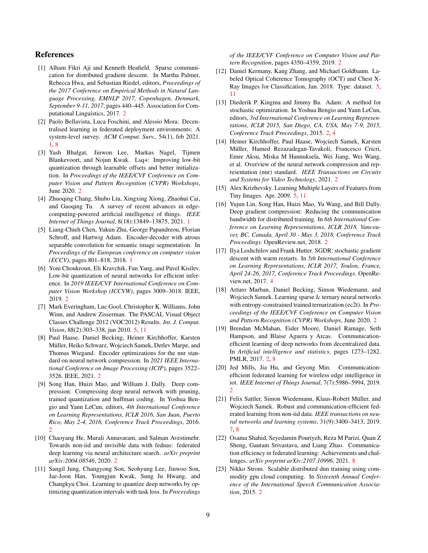#### References

- <span id="page-8-15"></span>[1] Alham Fikri Aji and Kenneth Heafield. Sparse communication for distributed gradient descent. In Martha Palmer, Rebecca Hwa, and Sebastian Riedel, editors, *Proceedings of the 2017 Conference on Empirical Methods in Natural Language Processing, EMNLP 2017, Copenhagen, Denmark, September 9-11, 2017*, pages 440–445. Association for Computational Linguistics, 2017. [2](#page-1-2)
- <span id="page-8-2"></span>[2] Paolo Bellavista, Luca Foschini, and Alessio Mora. Decentralised learning in federated deployment environments: A system-level survey. *ACM Comput. Surv.*, 54(1), feb 2021. [1,](#page-0-0) [8](#page-7-2)
- <span id="page-8-4"></span>[3] Yash Bhalgat, Jinwon Lee, Markus Nagel, Tijmen Blankevoort, and Nojun Kwak. Lsq+: Improving low-bit quantization through learnable offsets and better initialization. In *Proceedings of the IEEE/CVF Conference on Computer Vision and Pattern Recognition (CVPR) Workshops*, June 2020. [2](#page-1-2)
- <span id="page-8-0"></span>[4] Zhuoqing Chang, Shubo Liu, Xingxing Xiong, Zhaohui Cai, and Guoqing Tu. A survey of recent advances in edgecomputing-powered artificial intelligence of things. *IEEE Internet of Things Journal*, 8(18):13849–13875, 2021. [1](#page-0-0)
- <span id="page-8-1"></span>[5] Liang-Chieh Chen, Yukun Zhu, George Papandreou, Florian Schroff, and Hartwig Adam. Encoder-decoder with atrous separable convolution for semantic image segmentation. In *Proceedings of the European conference on computer vision (ECCV)*, pages 801–818, 2018. [1](#page-0-0)
- <span id="page-8-3"></span>[6] Yoni Choukroun, Eli Kravchik, Fan Yang, and Pavel Kisilev. Low-bit quantization of neural networks for efficient inference. In *2019 IEEE/CVF International Conference on Computer Vision Workshop (ICCVW)*, pages 3009–3018. IEEE, 2019. [2](#page-1-2)
- <span id="page-8-18"></span>[7] Mark Everingham, Luc Gool, Christopher K. Williams, John Winn, and Andrew Zisserman. The PASCAL Visual Object Classes Challenge 2012 (VOC2012) Results. *Int. J. Comput. Vision*, 88(2):303–338, jun 2010. [5,](#page-4-2) [11](#page-10-2)
- <span id="page-8-8"></span>[8] Paul Haase, Daniel Becking, Heiner Kirchhoffer, Karsten Müller, Heiko Schwarz, Wojciech Samek, Detlev Marpe, and Thomas Wiegand. Encoder optimizations for the nnr standard on neural network compression. In *2021 IEEE International Conference on Image Processing (ICIP)*, pages 3522– 3526. IEEE, 2021. [2](#page-1-2)
- <span id="page-8-7"></span>[9] Song Han, Huizi Mao, and William J. Dally. Deep compression: Compressing deep neural network with pruning, trained quantization and huffman coding. In Yoshua Bengio and Yann LeCun, editors, *4th International Conference on Learning Representations, ICLR 2016, San Juan, Puerto Rico, May 2-4, 2016, Conference Track Proceedings*, 2016. [2](#page-1-2)
- <span id="page-8-16"></span>[10] Chaoyang He, Murali Annavaram, and Salman Avestimehr. Towards non-iid and invisible data with fednas: federated deep learning via neural architecture search. *arXiv preprint arXiv:2004.08546*, 2020. [2](#page-1-2)
- <span id="page-8-5"></span>[11] Sangil Jung, Changyong Son, Seohyung Lee, Jinwoo Son, Jae-Joon Han, Youngjun Kwak, Sung Ju Hwang, and Changkyu Choi. Learning to quantize deep networks by optimizing quantization intervals with task loss. In *Proceedings*

*of the IEEE/CVF Conference on Computer Vision and Pattern Recognition*, pages 4350–4359, 2019. [2](#page-1-2)

- <span id="page-8-20"></span>[12] Daniel Kermany, Kang Zhang, and Michael Goldbaum. Labeled Optical Coherence Tomography (OCT) and Chest X-Ray Images for Classification, Jan. 2018. Type: dataset. [5,](#page-4-2) [11](#page-10-2)
- <span id="page-8-12"></span>[13] Diederik P. Kingma and Jimmy Ba. Adam: A method for stochastic optimization. In Yoshua Bengio and Yann LeCun, editors, *3rd International Conference on Learning Representations, ICLR 2015, San Diego, CA, USA, May 7-9, 2015, Conference Track Proceedings*, 2015. [2,](#page-1-2) [4](#page-3-3)
- <span id="page-8-9"></span>[14] Heiner Kirchhoffer, Paul Haase, Wojciech Samek, Karsten Müller, Hamed Rezazadegan-Tavakoli, Francesco Cricri, Emre Aksu, Miska M Hannuksela, Wei Jiang, Wei Wang, et al. Overview of the neural network compression and representation (nnr) standard. *IEEE Transactions on Circuits and Systems for Video Technology*, 2021. [2](#page-1-2)
- <span id="page-8-19"></span>[15] Alex Krizhevsky. Learning Multiple Layers of Features from Tiny Images. Apr. 2009. [5,](#page-4-2) [11](#page-10-2)
- <span id="page-8-14"></span>[16] Yujun Lin, Song Han, Huizi Mao, Yu Wang, and Bill Dally. Deep gradient compression: Reducing the communication bandwidth for distributed training. In *6th International Conference on Learning Representations, ICLR 2018, Vancouver, BC, Canada, April 30 - May 3, 2018, Conference Track Proceedings*. OpenReview.net, 2018. [2](#page-1-2)
- <span id="page-8-17"></span>[17] Ilya Loshchilov and Frank Hutter. SGDR: stochastic gradient descent with warm restarts. In *5th International Conference on Learning Representations, ICLR 2017, Toulon, France, April 24-26, 2017, Conference Track Proceedings*. OpenReview.net, 2017. [4](#page-3-3)
- <span id="page-8-6"></span>[18] Arturo Marban, Daniel Becking, Simon Wiedemann, and Wojciech Samek. Learning sparse & ternary neural networks with entropy-constrained trained ternarization (ec2t). In *Proceedings of the IEEE/CVF Conference on Computer Vision and Pattern Recognition (CVPR) Workshops*, June 2020. [2](#page-1-2)
- <span id="page-8-10"></span>[19] Brendan McMahan, Eider Moore, Daniel Ramage, Seth Hampson, and Blaise Aguera y Arcas. Communicationefficient learning of deep networks from decentralized data. In *Artificial intelligence and statistics*, pages 1273–1282. PMLR, 2017. [2,](#page-1-2) [8](#page-7-2)
- <span id="page-8-11"></span>[20] Jed Mills, Jia Hu, and Geyong Min. Communicationefficient federated learning for wireless edge intelligence in iot. *IEEE Internet of Things Journal*, 7(7):5986–5994, 2019. [2](#page-1-2)
- <span id="page-8-21"></span>[21] Felix Sattler, Simon Wiedemann, Klaus-Robert Müller, and Wojciech Samek. Robust and communication-efficient federated learning from non-iid data. *IEEE transactions on neural networks and learning systems*, 31(9):3400–3413, 2019. [7,](#page-6-4) [8](#page-7-2)
- <span id="page-8-22"></span>[22] Osama Shahid, Seyedamin Pouriyeh, Reza M Parizi, Quan Z Sheng, Gautam Srivastava, and Liang Zhao. Communication efficiency in federated learning: Achievements and challenges. *arXiv preprint arXiv:2107.10996*, 2021. [8](#page-7-2)
- <span id="page-8-13"></span>[23] Nikko Strom. Scalable distributed dnn training using commodity gpu cloud computing. In *Sixteenth Annual Conference of the International Speech Communication Association*, 2015. [2](#page-1-2)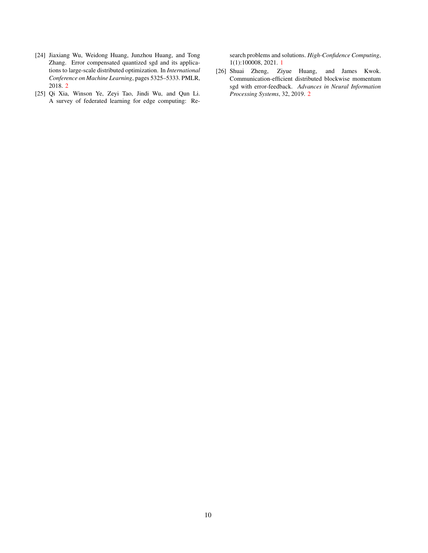- <span id="page-9-1"></span>[24] Jiaxiang Wu, Weidong Huang, Junzhou Huang, and Tong Zhang. Error compensated quantized sgd and its applications to large-scale distributed optimization. In *International Conference on Machine Learning*, pages 5325–5333. PMLR, 2018. [2](#page-1-2)
- <span id="page-9-0"></span>[25] Qi Xia, Winson Ye, Zeyi Tao, Jindi Wu, and Qun Li. A survey of federated learning for edge computing: Re-

search problems and solutions. *High-Confidence Computing*, 1(1):100008, 2021. [1](#page-0-0)

<span id="page-9-2"></span>[26] Shuai Zheng, Ziyue Huang, and James Kwok. Communication-efficient distributed blockwise momentum sgd with error-feedback. *Advances in Neural Information Processing Systems*, 32, 2019. [2](#page-1-2)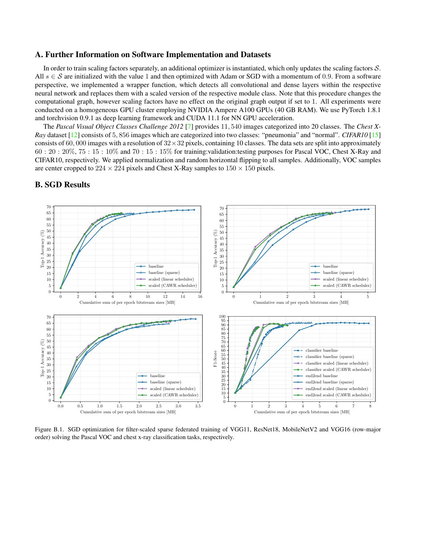#### <span id="page-10-2"></span><span id="page-10-0"></span>A. Further Information on Software Implementation and Datasets

In order to train scaling factors separately, an additional optimizer is instantiated, which only updates the scaling factors  $S$ . All  $s \in S$  are initialized with the value 1 and then optimized with Adam or SGD with a momentum of 0.9. From a software perspective, we implemented a wrapper function, which detects all convolutional and dense layers within the respective neural network and replaces them with a scaled version of the respective module class. Note that this procedure changes the computational graph, however scaling factors have no effect on the original graph output if set to 1. All experiments were conducted on a homogeneous GPU cluster employing NVIDIA Ampere A100 GPUs (40 GB RAM). We use PyTorch 1.8.1 and torchvision 0.9.1 as deep learning framework and CUDA 11.1 for NN GPU acceleration.

The *Pascal Visual Object Classes Challenge 2012* [\[7\]](#page-8-18) provides 11, 540 images categorized into 20 classes. The *Chest X-Ray* dataset [\[12\]](#page-8-20) consists of 5, 856 images which are categorized into two classes: "pneumonia" and "normal". *CIFAR10* [\[15\]](#page-8-19) consists of 60,000 images with a resolution of  $32 \times 32$  pixels, containing 10 classes. The data sets are split into approximately 60 : 20 : 20%, 75 : 15 : 10% and 70 : 15 : 15% for training:validation:testing purposes for Pascal VOC, Chest X-Ray and CIFAR10, respectively. We applied normalization and random horizontal flipping to all samples. Additionally, VOC samples are center cropped to  $224 \times 224$  pixels and Chest X-Ray samples to  $150 \times 150$  pixels.



## <span id="page-10-1"></span>B. SGD Results

Figure B.1. SGD optimization for filter-scaled sparse federated training of VGG11, ResNet18, MobileNetV2 and VGG16 (row-major order) solving the Pascal VOC and chest x-ray classification tasks, respectively.